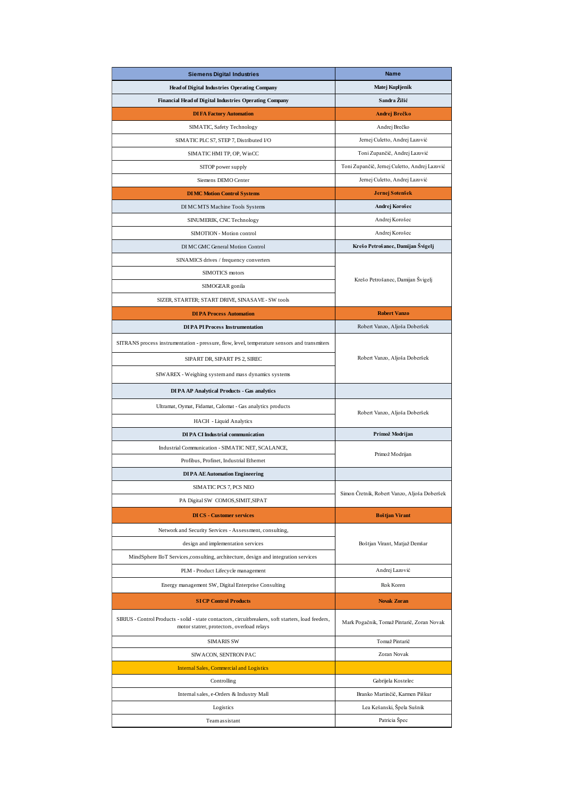| <b>Siemens Digital Industries</b>                                                                                                                 | <b>Name</b>                                   |  |
|---------------------------------------------------------------------------------------------------------------------------------------------------|-----------------------------------------------|--|
| <b>Head of Digital Industries Operating Company</b>                                                                                               | Matej Kupljenik                               |  |
| Financial Head of Digital Industries Operating Company                                                                                            | Sandra Žilić                                  |  |
| <b>DIFA Factory Automation</b>                                                                                                                    | Andrej Brečko                                 |  |
| SIMATIC, Safety Technology                                                                                                                        | Andrej Brečko                                 |  |
| SIMATIC PLC S7, STEP 7, Distributed I/O                                                                                                           | Jernej Culetto, Andrej Lazović                |  |
| SIMATIC HMI TP, OP, WinCC                                                                                                                         | Toni Zupančič, Andrej Lazović                 |  |
| SITOP power supply                                                                                                                                | Toni Zupančič, Jernej Culetto, Andrej Lazović |  |
| Siemens DEMO Center                                                                                                                               | Jernej Culetto, Andrej Lazović                |  |
| <b>DI MC Motion Control Systems</b>                                                                                                               | Jernej Sotenšek                               |  |
| DI MC MTS Machine Tools Systems                                                                                                                   | Andrej Korošec                                |  |
| SINUMERIK, CNC Technology                                                                                                                         | Andrej Korošec                                |  |
| SIMOTION - Motion control                                                                                                                         | Andrej Korošec                                |  |
| DI MC GMC General Motion Control                                                                                                                  | Krešo Petrošanec, Damijan Švigelj             |  |
| SINAMICS drives / frequency converters                                                                                                            |                                               |  |
| SIMOTICS motors                                                                                                                                   |                                               |  |
| SIMOGEAR gonila                                                                                                                                   | Krešo Petrošanec, Damijan Švigelj             |  |
| SIZER, STARTER; START DRIVE, SINASAVE - SW tools                                                                                                  |                                               |  |
| <b>DIPA Process Automation</b>                                                                                                                    | <b>Robert Vanzo</b>                           |  |
| <b>DI PA PI Process Instrumentation</b>                                                                                                           | Robert Vanzo, Aljoša Doberšek                 |  |
| SITRANS process instrumentation - pressure, flow, level, temperature sensors and transmiters                                                      |                                               |  |
| SIPART DR, SIPART PS 2, SIREC                                                                                                                     | Robert Vanzo, Aljoša Doberšek                 |  |
| SIWAREX - Weighing system and mass dynamics systems                                                                                               |                                               |  |
| <b>DIPA AP Analytical Products - Gas analytics</b>                                                                                                |                                               |  |
| Ultramat, Oymat, Fidamat, Calomat - Gas analytics products                                                                                        | Robert Vanzo, Aljoša Doberšek                 |  |
| HACH - Liquid Analytics                                                                                                                           |                                               |  |
| <b>DI PA CI Industrial communication</b>                                                                                                          | Primož Modrijan                               |  |
| Industrial Communication - SIMATIC NET, SCALANCE,                                                                                                 | Primož Modrijan                               |  |
| Profibus, Profinet, Industrial Ethernet                                                                                                           |                                               |  |
| <b>DIPA AE Automation Engineering</b>                                                                                                             |                                               |  |
| SIMATIC PCS 7, PCS NEO                                                                                                                            | Simon Cretnik, Robert Vanzo, Aljoša Doberšek  |  |
| PA Digital SW COMOS, SIMIT, SIPAT                                                                                                                 |                                               |  |
| <b>DICS</b> - Customer services                                                                                                                   | <b>Boštjan Virant</b>                         |  |
| Network and Security Services - Assessment, consulting,                                                                                           | Boštjan Virant, Matjaž Demšar                 |  |
| design and implementation services                                                                                                                |                                               |  |
| MindSphere IIoT Services, consulting, architecture, design and integration services                                                               |                                               |  |
| PLM - Product Lifecycle management                                                                                                                | Andrej Lazović                                |  |
| Energy management SW, Digital Enterprise Consulting                                                                                               | <b>Rok Koren</b>                              |  |
| <b>SI CP Control Products</b>                                                                                                                     | <b>Novak Zoran</b>                            |  |
| SIRIUS - Control Products - solid - state contactors, circuitbreakers, soft starters, load feeders,<br>motor statrer, protectors, overload relays | Mark Pogačnik, Tomaž Pintarič, Zoran Novak    |  |
| <b>SIMARIS SW</b>                                                                                                                                 | Tomaž Pintarič                                |  |
| SIWACON, SENTRON PAC                                                                                                                              | Zoran Novak                                   |  |
| Internal Sales, Commercial and Logistics                                                                                                          |                                               |  |
| Controlling                                                                                                                                       | Gabrijela Kostelec                            |  |
| Internal sales, e-Orders & Industry Mall                                                                                                          | Branko Martinčič, Karmen Piškur               |  |
| Logistics                                                                                                                                         | Lea Kešanski, Špela Sušnik                    |  |
| Teamassistant                                                                                                                                     | Patricia Špec                                 |  |